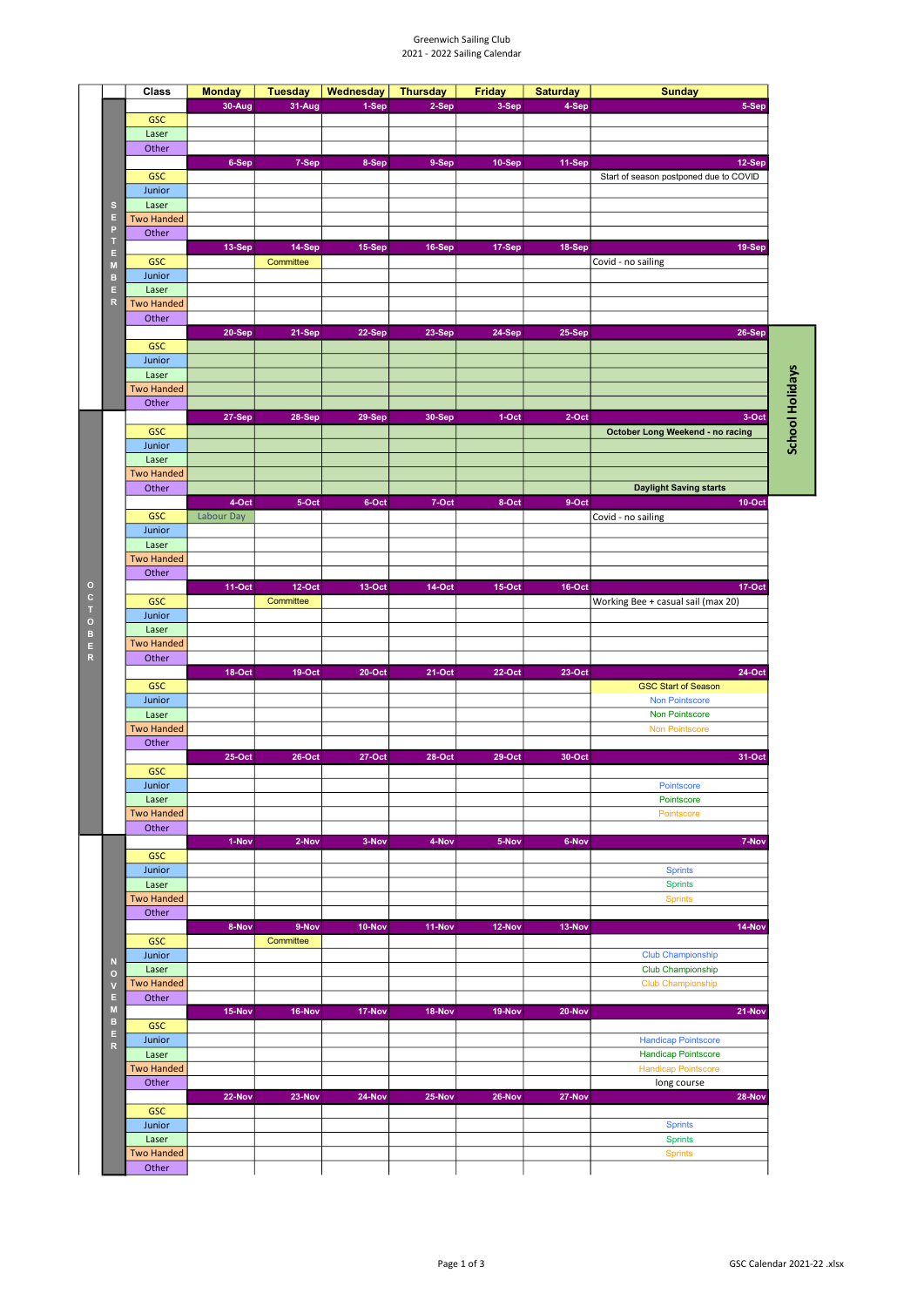## Greenwich Sailing Club 2021 - 2022 Sailing Calendar

|              | Class             | <b>Monday</b>                                                                                                                  | <b>Tuesday</b> | Wednesday                                                                                                                                                                                                                                                                                             | <b>Thursday</b> | <b>Friday</b> | <b>Saturday</b> | <b>Sunday</b>                          |  |
|--------------|-------------------|--------------------------------------------------------------------------------------------------------------------------------|----------------|-------------------------------------------------------------------------------------------------------------------------------------------------------------------------------------------------------------------------------------------------------------------------------------------------------|-----------------|---------------|-----------------|----------------------------------------|--|
|              |                   | 30-Aug                                                                                                                         | 31-Aug         | 1-Sep                                                                                                                                                                                                                                                                                                 | 2-Sep           | 3-Sep         | 4-Sep           | 5-Sep                                  |  |
|              | <b>GSC</b>        |                                                                                                                                |                |                                                                                                                                                                                                                                                                                                       |                 |               |                 |                                        |  |
|              |                   |                                                                                                                                |                |                                                                                                                                                                                                                                                                                                       |                 |               |                 |                                        |  |
|              | Laser             |                                                                                                                                |                |                                                                                                                                                                                                                                                                                                       |                 |               |                 |                                        |  |
|              | Other             |                                                                                                                                |                |                                                                                                                                                                                                                                                                                                       |                 |               |                 |                                        |  |
|              |                   | 6-Sep                                                                                                                          | 7-Sep          | 8-Sep                                                                                                                                                                                                                                                                                                 | 9-Sep           | 10-Sep        | 11-Sep          | 12-Sep                                 |  |
|              | <b>GSC</b>        |                                                                                                                                |                |                                                                                                                                                                                                                                                                                                       |                 |               |                 | Start of season postponed due to COVID |  |
|              | Junior            |                                                                                                                                |                |                                                                                                                                                                                                                                                                                                       |                 |               |                 |                                        |  |
| s            | Laser             |                                                                                                                                |                |                                                                                                                                                                                                                                                                                                       |                 |               |                 |                                        |  |
| Е            | <b>Two Handed</b> |                                                                                                                                |                |                                                                                                                                                                                                                                                                                                       |                 |               |                 |                                        |  |
| P            | Other             |                                                                                                                                |                |                                                                                                                                                                                                                                                                                                       |                 |               |                 |                                        |  |
| E            |                   |                                                                                                                                |                | 15-Sep                                                                                                                                                                                                                                                                                                | 16-Sep          | 17-Sep        | 18-Sep          | 19-Sep                                 |  |
| M            | <b>GSC</b>        |                                                                                                                                | Committee      |                                                                                                                                                                                                                                                                                                       |                 |               |                 |                                        |  |
| в            | Junior            |                                                                                                                                |                |                                                                                                                                                                                                                                                                                                       |                 |               |                 |                                        |  |
| E.           | Laser             |                                                                                                                                |                |                                                                                                                                                                                                                                                                                                       |                 |               |                 |                                        |  |
| R            | <b>Two Handed</b> |                                                                                                                                |                | Covid - no sailing<br>22-Sep<br>23-Sep<br><b>24-Sep</b><br><b>25-Sep</b><br>29-Sep<br>30-Sep<br>$1-Oct$<br>2-Oct<br>5-Oct<br>6-Oct<br>8-Oct<br>9-Oct<br>7-Oct<br>Covid - no sailing<br>$13-Oct$<br><b>14-Oct</b><br>$15-Oct$<br><b>16-Oct</b><br>$19-Oct$<br>$20-Oct$<br>$21-Oct$<br>22-Oct<br>23-Oct |                 |               |                 |                                        |  |
|              | Other             | 13-Sep<br>14-Sep<br>20-Sep<br>21-Sep<br>27-Sep<br>28-Sep<br>4-Oct<br>Labour Day<br><b>11-Oct</b><br><b>12-Oct</b><br>Committee |                |                                                                                                                                                                                                                                                                                                       |                 |               |                 |                                        |  |
|              |                   |                                                                                                                                |                |                                                                                                                                                                                                                                                                                                       |                 |               |                 | 26-Sep                                 |  |
|              | <b>GSC</b>        |                                                                                                                                |                |                                                                                                                                                                                                                                                                                                       |                 |               |                 |                                        |  |
|              | Junior            |                                                                                                                                |                |                                                                                                                                                                                                                                                                                                       |                 |               |                 |                                        |  |
|              | Laser             |                                                                                                                                |                |                                                                                                                                                                                                                                                                                                       |                 |               |                 |                                        |  |
|              | <b>Two Handed</b> |                                                                                                                                |                |                                                                                                                                                                                                                                                                                                       |                 |               |                 |                                        |  |
|              | Other             |                                                                                                                                |                |                                                                                                                                                                                                                                                                                                       |                 |               |                 |                                        |  |
|              |                   |                                                                                                                                |                |                                                                                                                                                                                                                                                                                                       |                 |               |                 | 3-Oct                                  |  |
|              | <b>GSC</b>        |                                                                                                                                |                |                                                                                                                                                                                                                                                                                                       |                 |               |                 |                                        |  |
|              |                   |                                                                                                                                |                |                                                                                                                                                                                                                                                                                                       |                 |               |                 | October Long Weekend - no racing       |  |
|              | Junior            |                                                                                                                                |                |                                                                                                                                                                                                                                                                                                       |                 |               |                 |                                        |  |
|              | Laser             |                                                                                                                                |                |                                                                                                                                                                                                                                                                                                       |                 |               |                 |                                        |  |
|              | <b>Two Handed</b> |                                                                                                                                |                |                                                                                                                                                                                                                                                                                                       |                 |               |                 |                                        |  |
|              | Other             |                                                                                                                                |                |                                                                                                                                                                                                                                                                                                       |                 |               |                 | <b>Daylight Saving starts</b>          |  |
|              |                   |                                                                                                                                |                |                                                                                                                                                                                                                                                                                                       |                 |               |                 | $10-Oct$                               |  |
|              | <b>GSC</b>        |                                                                                                                                |                |                                                                                                                                                                                                                                                                                                       |                 |               |                 |                                        |  |
|              | Junior            |                                                                                                                                |                |                                                                                                                                                                                                                                                                                                       |                 |               |                 |                                        |  |
|              | Laser             |                                                                                                                                |                |                                                                                                                                                                                                                                                                                                       |                 |               |                 |                                        |  |
|              | <b>Two Handed</b> |                                                                                                                                |                |                                                                                                                                                                                                                                                                                                       |                 |               |                 |                                        |  |
|              | Other             |                                                                                                                                |                |                                                                                                                                                                                                                                                                                                       |                 |               |                 |                                        |  |
|              |                   |                                                                                                                                |                |                                                                                                                                                                                                                                                                                                       |                 |               |                 | <b>17-Oct</b>                          |  |
|              | <b>GSC</b>        |                                                                                                                                |                |                                                                                                                                                                                                                                                                                                       |                 |               |                 | Working Bee + casual sail (max 20)     |  |
|              | Junior            |                                                                                                                                |                |                                                                                                                                                                                                                                                                                                       |                 |               |                 |                                        |  |
|              |                   |                                                                                                                                |                |                                                                                                                                                                                                                                                                                                       |                 |               |                 |                                        |  |
|              | Laser             |                                                                                                                                |                |                                                                                                                                                                                                                                                                                                       |                 |               |                 |                                        |  |
|              | <b>Two Handed</b> |                                                                                                                                |                |                                                                                                                                                                                                                                                                                                       |                 |               |                 |                                        |  |
|              | Other             |                                                                                                                                |                |                                                                                                                                                                                                                                                                                                       |                 |               |                 |                                        |  |
|              |                   | <b>18-Oct</b>                                                                                                                  |                |                                                                                                                                                                                                                                                                                                       |                 |               |                 | 24-Oct                                 |  |
|              | <b>GSC</b>        |                                                                                                                                |                |                                                                                                                                                                                                                                                                                                       |                 |               |                 | <b>GSC Start of Season</b>             |  |
|              | Junior            |                                                                                                                                |                |                                                                                                                                                                                                                                                                                                       |                 |               |                 | <b>Non Pointscore</b>                  |  |
|              | Laser             |                                                                                                                                |                |                                                                                                                                                                                                                                                                                                       |                 |               |                 | Non Pointscore                         |  |
|              | <b>Two Handed</b> |                                                                                                                                |                |                                                                                                                                                                                                                                                                                                       |                 |               |                 | <b>Non Pointscore</b>                  |  |
|              | Other             |                                                                                                                                |                |                                                                                                                                                                                                                                                                                                       |                 |               |                 |                                        |  |
|              |                   | <b>25-Oct</b>                                                                                                                  | $26$ -Oct      | 27-Oct                                                                                                                                                                                                                                                                                                | <b>28-Oct</b>   | $29-Oct$      | 30-Oct          | 31-Oct                                 |  |
|              | <b>GSC</b>        |                                                                                                                                |                |                                                                                                                                                                                                                                                                                                       |                 |               |                 |                                        |  |
|              | Junior            |                                                                                                                                |                |                                                                                                                                                                                                                                                                                                       |                 |               |                 | Pointscore                             |  |
|              | Laser             |                                                                                                                                |                |                                                                                                                                                                                                                                                                                                       |                 |               |                 | Pointscore                             |  |
|              | <b>Two Handed</b> |                                                                                                                                |                |                                                                                                                                                                                                                                                                                                       |                 |               |                 | Pointscore                             |  |
|              | Other             |                                                                                                                                |                |                                                                                                                                                                                                                                                                                                       |                 |               |                 |                                        |  |
|              |                   | 1-Nov                                                                                                                          | 2-Nov          | 3-Nov                                                                                                                                                                                                                                                                                                 |                 | 5-Nov         |                 |                                        |  |
|              |                   |                                                                                                                                |                |                                                                                                                                                                                                                                                                                                       | 4-Nov           |               | 6-Nov           | 7-Nov                                  |  |
|              | <b>GSC</b>        |                                                                                                                                |                |                                                                                                                                                                                                                                                                                                       |                 |               |                 |                                        |  |
|              | Junior            |                                                                                                                                |                |                                                                                                                                                                                                                                                                                                       |                 |               |                 | <b>Sprints</b>                         |  |
|              | Laser             |                                                                                                                                |                |                                                                                                                                                                                                                                                                                                       |                 |               |                 | <b>Sprints</b>                         |  |
|              | <b>Two Handed</b> |                                                                                                                                |                |                                                                                                                                                                                                                                                                                                       |                 |               |                 | <b>Sprints</b>                         |  |
|              | Other             |                                                                                                                                |                |                                                                                                                                                                                                                                                                                                       |                 |               |                 |                                        |  |
|              |                   | 8-Nov                                                                                                                          | 9-Nov          | 10-Nov                                                                                                                                                                                                                                                                                                | 11-Nov          | 12-Nov        | 13-Nov          | 14-Nov                                 |  |
|              | <b>GSC</b>        |                                                                                                                                | Committee      |                                                                                                                                                                                                                                                                                                       |                 |               |                 |                                        |  |
|              | Junior            |                                                                                                                                |                |                                                                                                                                                                                                                                                                                                       |                 |               |                 | <b>Club Championship</b>               |  |
| N<br>$\circ$ | Laser             |                                                                                                                                |                |                                                                                                                                                                                                                                                                                                       |                 |               |                 | <b>Club Championship</b>               |  |
| $\mathbf v$  | <b>Two Handed</b> |                                                                                                                                |                |                                                                                                                                                                                                                                                                                                       |                 |               |                 | <b>Club Championship</b>               |  |
| Е            | Other             |                                                                                                                                |                |                                                                                                                                                                                                                                                                                                       |                 |               |                 |                                        |  |
| M            |                   | 15-Nov                                                                                                                         | 16-Nov         | 17-Nov                                                                                                                                                                                                                                                                                                | 18-Nov          | 19-Nov        | 20-Nov          | 21-Nov                                 |  |
| в            | <b>GSC</b>        |                                                                                                                                |                |                                                                                                                                                                                                                                                                                                       |                 |               |                 |                                        |  |
| E.           | Junior            |                                                                                                                                |                |                                                                                                                                                                                                                                                                                                       |                 |               |                 | <b>Handicap Pointscore</b>             |  |
| $\mathbb{R}$ |                   |                                                                                                                                |                |                                                                                                                                                                                                                                                                                                       |                 |               |                 |                                        |  |
|              | Laser             |                                                                                                                                |                |                                                                                                                                                                                                                                                                                                       |                 |               |                 | <b>Handicap Pointscore</b>             |  |
|              | <b>Two Handed</b> |                                                                                                                                |                |                                                                                                                                                                                                                                                                                                       |                 |               |                 | <b>Handicap Pointscore</b>             |  |
|              | Other             |                                                                                                                                |                |                                                                                                                                                                                                                                                                                                       |                 |               |                 | long course                            |  |
|              |                   | 22-Nov                                                                                                                         | 23-Nov         | <b>24-Nov</b>                                                                                                                                                                                                                                                                                         | 25-Nov          | 26-Nov        | 27-Nov          | 28-Nov                                 |  |
|              | <b>GSC</b>        |                                                                                                                                |                |                                                                                                                                                                                                                                                                                                       |                 |               |                 |                                        |  |
|              | Junior            |                                                                                                                                |                |                                                                                                                                                                                                                                                                                                       |                 |               |                 | <b>Sprints</b>                         |  |
|              | Laser             |                                                                                                                                |                |                                                                                                                                                                                                                                                                                                       |                 |               |                 | <b>Sprints</b>                         |  |
|              | <b>Two Handed</b> |                                                                                                                                |                |                                                                                                                                                                                                                                                                                                       |                 |               |                 | <b>Sprints</b>                         |  |
|              | Other             |                                                                                                                                |                |                                                                                                                                                                                                                                                                                                       |                 |               |                 |                                        |  |
|              |                   |                                                                                                                                |                |                                                                                                                                                                                                                                                                                                       |                 |               |                 |                                        |  |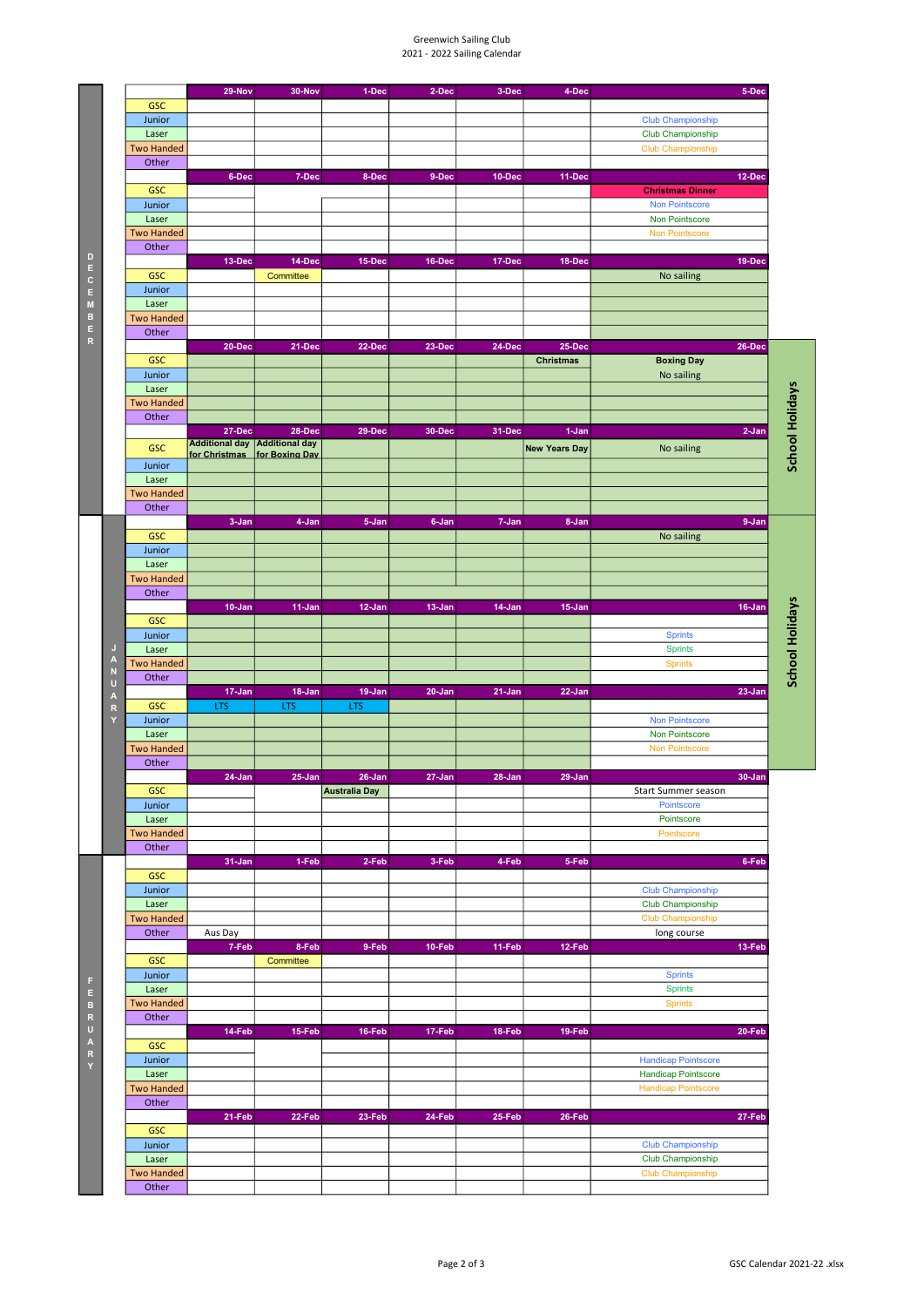## Greenwich Sailing Club 2021 - 2022 Sailing Calendar

|                         |                            | 29-Nov                                                          | 30-Nov              | 1-Dec                | 2-Dec      | 3-Dec  | 4-Dec                | 5-Dec                                         |                        |
|-------------------------|----------------------------|-----------------------------------------------------------------|---------------------|----------------------|------------|--------|----------------------|-----------------------------------------------|------------------------|
|                         | <b>GSC</b>                 |                                                                 |                     |                      |            |        |                      |                                               |                        |
|                         | Junior                     |                                                                 |                     |                      |            |        |                      | <b>Club Championship</b><br>Club Championship |                        |
|                         | Laser<br><b>Two Handed</b> |                                                                 |                     |                      |            |        |                      | <b>Club Championship</b>                      |                        |
|                         | Other                      |                                                                 |                     |                      |            |        |                      |                                               |                        |
|                         |                            | 6-Dec                                                           | 7-Dec               | 8-Dec                | 9-Dec      | 10-Dec | 11-Dec               | 12-Dec                                        |                        |
|                         | <b>GSC</b>                 |                                                                 |                     |                      |            |        |                      | <b>Christmas Dinner</b>                       |                        |
|                         | Junior                     |                                                                 |                     |                      |            |        |                      | <b>Non Pointscore</b>                         |                        |
|                         | Laser                      |                                                                 |                     |                      |            |        |                      | Non Pointscore                                |                        |
|                         | <b>Two Handed</b>          |                                                                 |                     |                      |            |        |                      | Non Pointscore                                |                        |
|                         | Other                      |                                                                 |                     |                      |            |        |                      |                                               |                        |
|                         | <b>GSC</b>                 | 13-Dec                                                          | 14-Dec<br>Committee | 15-Dec               | 16-Dec     | 17-Dec | 18-Dec               | 19-Dec<br>No sailing                          |                        |
|                         | Junior                     |                                                                 |                     |                      |            |        |                      |                                               |                        |
|                         | Laser                      |                                                                 |                     |                      |            |        |                      |                                               |                        |
|                         | <b>Two Handed</b>          |                                                                 |                     |                      |            |        |                      |                                               |                        |
|                         | Other                      |                                                                 |                     |                      |            |        |                      |                                               |                        |
|                         |                            | 20-Dec                                                          | 21-Dec              | 22-Dec               | 23-Dec     | 24-Dec | 25-Dec               | 26-Dec                                        |                        |
|                         | <b>GSC</b>                 |                                                                 |                     |                      |            |        | <b>Christmas</b>     | <b>Boxing Day</b>                             |                        |
|                         | Junior<br>Laser            |                                                                 |                     |                      |            |        |                      | No sailing                                    |                        |
|                         | <b>Two Handed</b>          |                                                                 |                     |                      |            |        |                      |                                               |                        |
|                         | Other                      |                                                                 |                     |                      |            |        |                      |                                               |                        |
|                         |                            | 27-Dec                                                          | 28-Dec              | 29-Dec               | 30-Dec     | 31-Dec | 1-Jan                | $2-Jan$                                       | <b>School Holidays</b> |
|                         | <b>GSC</b>                 | Additional day   Additional day<br>for Christmas for Boxing Day |                     |                      |            |        | <b>New Years Day</b> | No sailing                                    |                        |
|                         | Junior                     |                                                                 |                     |                      |            |        |                      |                                               |                        |
|                         | Laser                      |                                                                 |                     |                      |            |        |                      |                                               |                        |
|                         | <b>Two Handed</b>          |                                                                 |                     |                      |            |        |                      |                                               |                        |
|                         | Other                      | 3-Jan                                                           |                     |                      |            |        |                      |                                               |                        |
|                         | <b>GSC</b>                 |                                                                 | 4-Jan               | 5-Jan                | 6-Jan      | 7-Jan  | 8-Jan                | 9-Jan<br>No sailing                           |                        |
|                         | Junior                     |                                                                 |                     |                      |            |        |                      |                                               |                        |
|                         | Laser                      |                                                                 |                     |                      |            |        |                      |                                               |                        |
|                         | <b>Two Handed</b>          |                                                                 |                     |                      |            |        |                      |                                               |                        |
|                         | Other                      |                                                                 |                     |                      |            |        |                      |                                               |                        |
|                         | <b>GSC</b>                 | $10 - Jan$                                                      | 11-Jan              | $12$ -Jan            | 13-Jan     | 14-Jan | $15 - Jan$           | 16-Jan                                        | <b>School Holidays</b> |
|                         | Junior                     |                                                                 |                     |                      |            |        |                      | <b>Sprints</b>                                |                        |
| $\mathsf{J}$            | Laser                      |                                                                 |                     |                      |            |        |                      | <b>Sprints</b>                                |                        |
| $\overline{A}$          | <b>Two Handed</b>          |                                                                 |                     |                      |            |        |                      | <b>Sprints</b>                                |                        |
| N<br>U                  | Other                      |                                                                 |                     |                      |            |        |                      |                                               |                        |
| $\overline{\mathbf{A}}$ |                            | 17-Jan                                                          | 18-Jan              | $19 - Jan$           | $20 - Jan$ | 21-Jan | $22 - Jan$           | $23 - Jan$                                    |                        |
| $\mathsf R$<br>Y        | <b>GSC</b>                 | LTS                                                             | LTS                 | LTS                  |            |        |                      | <b>Non Pointscore</b>                         |                        |
|                         | Junior<br>Laser            |                                                                 |                     |                      |            |        |                      | Non Pointscore                                |                        |
|                         | <b>Two Handed</b>          |                                                                 |                     |                      |            |        |                      | <b>Non Pointscore</b>                         |                        |
|                         | Other                      |                                                                 |                     |                      |            |        |                      |                                               |                        |
|                         |                            | $24$ -Jan                                                       | $25 - Jan$          | $26 - Jan$           | 27-Jan     | 28-Jan | 29-Jan               | 30-Jan                                        |                        |
|                         | <b>GSC</b>                 |                                                                 |                     | <b>Australia Day</b> |            |        |                      | Start Summer season                           |                        |
|                         | Junior<br>Laser            |                                                                 |                     |                      |            |        |                      | Pointscore<br>Pointscore                      |                        |
|                         | <b>Two Handed</b>          |                                                                 |                     |                      |            |        |                      | Pointscore                                    |                        |
|                         | Other                      |                                                                 |                     |                      |            |        |                      |                                               |                        |
|                         |                            | $31 - Jan$                                                      | 1-Feb               | 2-Feb                | 3-Feb      | 4-Feb  | 5-Feb                | 6-Feb                                         |                        |
|                         | <b>GSC</b>                 |                                                                 |                     |                      |            |        |                      |                                               |                        |
|                         | Junior                     |                                                                 |                     |                      |            |        |                      | <b>Club Championship</b>                      |                        |
|                         | Laser                      |                                                                 |                     |                      |            |        |                      | Club Championship                             |                        |
|                         |                            |                                                                 |                     |                      |            |        |                      |                                               |                        |
|                         | <b>Two Handed</b>          |                                                                 |                     |                      |            |        |                      | Club Championship                             |                        |
|                         | Other                      | Aus Day<br>7-Feb                                                | 8-Feb               | 9-Feb                | 10-Feb     | 11-Feb | 12-Feb               | long course<br>13-Feb                         |                        |
|                         | <b>GSC</b>                 |                                                                 | Committee           |                      |            |        |                      |                                               |                        |
|                         | Junior                     |                                                                 |                     |                      |            |        |                      | <b>Sprints</b>                                |                        |
|                         | Laser                      |                                                                 |                     |                      |            |        |                      | <b>Sprints</b>                                |                        |
|                         | <b>Two Handed</b>          |                                                                 |                     |                      |            |        |                      | <b>Sprints</b>                                |                        |
|                         | Other                      |                                                                 |                     |                      |            |        |                      |                                               |                        |
|                         |                            | 14-Feb                                                          | 15-Feb              | 16-Feb               | 17-Feb     | 18-Feb | 19-Feb               | 20-Feb                                        |                        |
|                         | <b>GSC</b><br>Junior       |                                                                 |                     |                      |            |        |                      | <b>Handicap Pointscore</b>                    |                        |
|                         | Laser                      |                                                                 |                     |                      |            |        |                      | <b>Handicap Pointscore</b>                    |                        |
|                         | <b>Two Handed</b>          |                                                                 |                     |                      |            |        |                      | <b>Handicap Pointscore</b>                    |                        |
|                         | Other                      |                                                                 |                     |                      |            |        |                      |                                               |                        |
|                         |                            | 21-Feb                                                          | 22-Feb              | 23-Feb               | 24-Feb     | 25-Feb | 26-Feb               | 27-Feb                                        |                        |
|                         | <b>GSC</b>                 |                                                                 |                     |                      |            |        |                      |                                               |                        |
|                         | Junior                     |                                                                 |                     |                      |            |        |                      | <b>Club Championship</b>                      |                        |
|                         | Laser<br><b>Two Handed</b> |                                                                 |                     |                      |            |        |                      | Club Championship<br>Club Championship        |                        |

D E C E M B E R